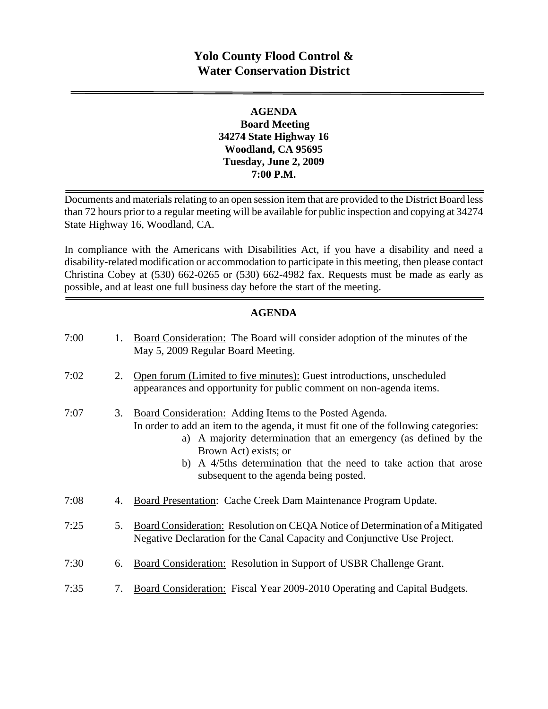# **Yolo County Flood Control & Water Conservation District**

### **AGENDA Board Meeting 34274 State Highway 16 Woodland, CA 95695 Tuesday, June 2, 2009 7:00 P.M.**

Documents and materials relating to an open session item that are provided to the District Board less than 72 hours prior to a regular meeting will be available for public inspection and copying at 34274 State Highway 16, Woodland, CA.

In compliance with the Americans with Disabilities Act, if you have a disability and need a disability-related modification or accommodation to participate in this meeting, then please contact Christina Cobey at (530) 662-0265 or (530) 662-4982 fax. Requests must be made as early as possible, and at least one full business day before the start of the meeting.

### **AGENDA**

| 7:00 | 1. | Board Consideration: The Board will consider adoption of the minutes of the<br>May 5, 2009 Regular Board Meeting.                                                                                                                                                                                                                                          |
|------|----|------------------------------------------------------------------------------------------------------------------------------------------------------------------------------------------------------------------------------------------------------------------------------------------------------------------------------------------------------------|
| 7:02 | 2. | Open forum (Limited to five minutes): Guest introductions, unscheduled<br>appearances and opportunity for public comment on non-agenda items.                                                                                                                                                                                                              |
| 7:07 | 3. | Board Consideration: Adding Items to the Posted Agenda.<br>In order to add an item to the agenda, it must fit one of the following categories:<br>a) A majority determination that an emergency (as defined by the<br>Brown Act) exists; or<br>b) A 4/5ths determination that the need to take action that arose<br>subsequent to the agenda being posted. |
| 7:08 | 4. | Board Presentation: Cache Creek Dam Maintenance Program Update.                                                                                                                                                                                                                                                                                            |
| 7:25 | 5. | Board Consideration: Resolution on CEQA Notice of Determination of a Mitigated<br>Negative Declaration for the Canal Capacity and Conjunctive Use Project.                                                                                                                                                                                                 |
| 7:30 | 6. | Board Consideration: Resolution in Support of USBR Challenge Grant.                                                                                                                                                                                                                                                                                        |
| 7:35 | 7. | Board Consideration: Fiscal Year 2009-2010 Operating and Capital Budgets.                                                                                                                                                                                                                                                                                  |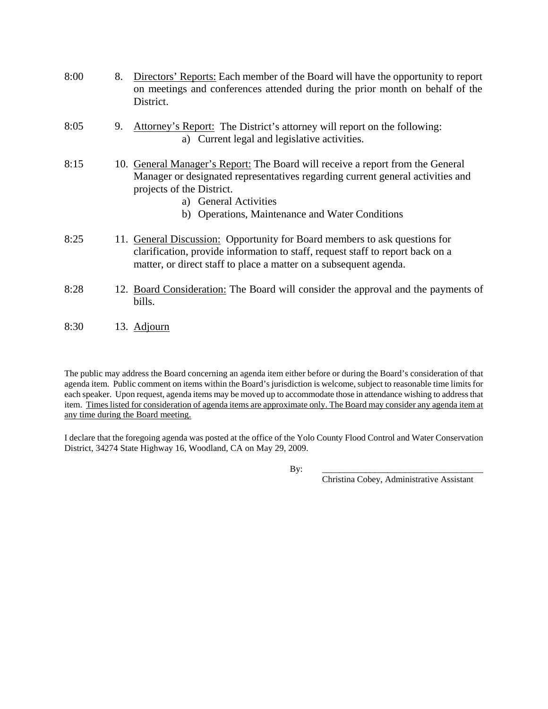| 8:00 | 8. | Directors' Reports: Each member of the Board will have the opportunity to report<br>on meetings and conferences attended during the prior month on behalf of the<br>District.                                                                                             |
|------|----|---------------------------------------------------------------------------------------------------------------------------------------------------------------------------------------------------------------------------------------------------------------------------|
| 8:05 | 9. | Attorney's Report: The District's attorney will report on the following:<br>a) Current legal and legislative activities.                                                                                                                                                  |
| 8:15 |    | 10. General Manager's Report: The Board will receive a report from the General<br>Manager or designated representatives regarding current general activities and<br>projects of the District.<br>a) General Activities<br>b) Operations, Maintenance and Water Conditions |
| 8:25 |    | 11. General Discussion: Opportunity for Board members to ask questions for<br>clarification, provide information to staff, request staff to report back on a<br>matter, or direct staff to place a matter on a subsequent agenda.                                         |
| 8:28 |    | 12. Board Consideration: The Board will consider the approval and the payments of<br>bills.                                                                                                                                                                               |
| 8:30 |    | 13. Adjourn                                                                                                                                                                                                                                                               |

The public may address the Board concerning an agenda item either before or during the Board's consideration of that agenda item. Public comment on items within the Board's jurisdiction is welcome, subject to reasonable time limits for each speaker. Upon request, agenda items may be moved up to accommodate those in attendance wishing to address that item. Times listed for consideration of agenda items are approximate only. The Board may consider any agenda item at any time during the Board meeting.

I declare that the foregoing agenda was posted at the office of the Yolo County Flood Control and Water Conservation District, 34274 State Highway 16, Woodland, CA on May 29, 2009.

By: \_\_\_\_\_\_\_\_\_\_\_\_\_\_\_\_\_\_\_\_\_\_\_\_\_\_\_\_\_\_\_\_\_\_\_\_\_

Christina Cobey, Administrative Assistant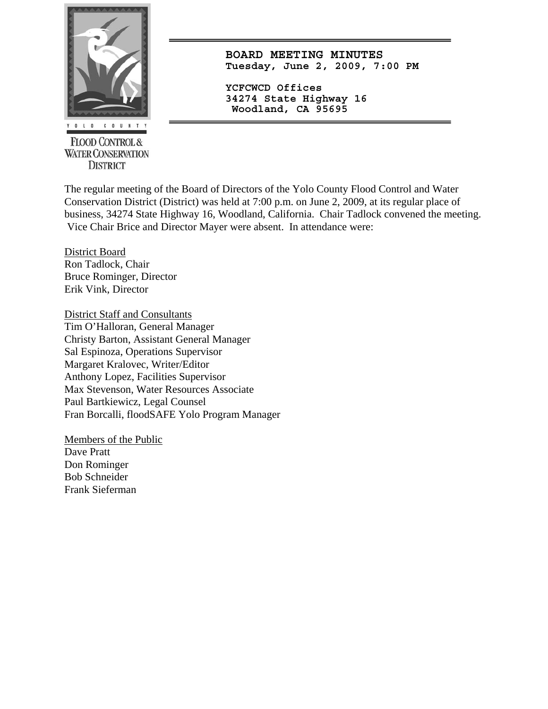

**FLOOD CONTROL & WATER CONSERVATION DISTRICT** 

**BOARD MEETING MINUTES Tuesday, June 2, 2009, 7:00 PM**

**YCFCWCD Offices 34274 State Highway 16 Woodland, CA 95695** 

The regular meeting of the Board of Directors of the Yolo County Flood Control and Water Conservation District (District) was held at 7:00 p.m. on June 2, 2009, at its regular place of business, 34274 State Highway 16, Woodland, California. Chair Tadlock convened the meeting. Vice Chair Brice and Director Mayer were absent. In attendance were:

District Board Ron Tadlock, Chair Bruce Rominger, Director Erik Vink, Director

District Staff and Consultants Tim O'Halloran, General Manager Christy Barton, Assistant General Manager Sal Espinoza, Operations Supervisor Margaret Kralovec, Writer/Editor Anthony Lopez, Facilities Supervisor Max Stevenson, Water Resources Associate Paul Bartkiewicz, Legal Counsel Fran Borcalli, floodSAFE Yolo Program Manager

Members of the Public Dave Pratt Don Rominger Bob Schneider Frank Sieferman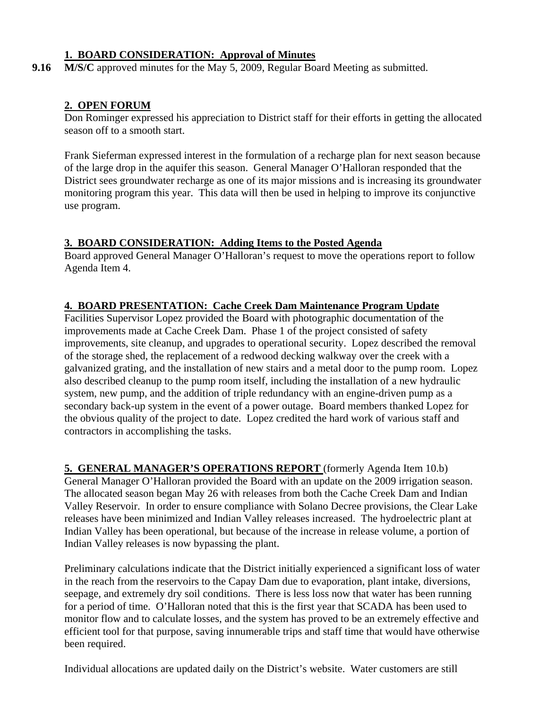### **1. BOARD CONSIDERATION: Approval of Minutes**

**9.16** M/S/C approved minutes for the May 5, 2009, Regular Board Meeting as submitted.

### **2. OPEN FORUM**

Don Rominger expressed his appreciation to District staff for their efforts in getting the allocated season off to a smooth start.

Frank Sieferman expressed interest in the formulation of a recharge plan for next season because of the large drop in the aquifer this season. General Manager O'Halloran responded that the District sees groundwater recharge as one of its major missions and is increasing its groundwater monitoring program this year. This data will then be used in helping to improve its conjunctive use program.

### **3. BOARD CONSIDERATION: Adding Items to the Posted Agenda**

Board approved General Manager O'Halloran's request to move the operations report to follow Agenda Item 4.

### **4. BOARD PRESENTATION: Cache Creek Dam Maintenance Program Update**

Facilities Supervisor Lopez provided the Board with photographic documentation of the improvements made at Cache Creek Dam. Phase 1 of the project consisted of safety improvements, site cleanup, and upgrades to operational security. Lopez described the removal of the storage shed, the replacement of a redwood decking walkway over the creek with a galvanized grating, and the installation of new stairs and a metal door to the pump room. Lopez also described cleanup to the pump room itself, including the installation of a new hydraulic system, new pump, and the addition of triple redundancy with an engine-driven pump as a secondary back-up system in the event of a power outage. Board members thanked Lopez for the obvious quality of the project to date. Lopez credited the hard work of various staff and contractors in accomplishing the tasks.

**5. GENERAL MANAGER'S OPERATIONS REPORT** (formerly Agenda Item 10.b) General Manager O'Halloran provided the Board with an update on the 2009 irrigation season. The allocated season began May 26 with releases from both the Cache Creek Dam and Indian Valley Reservoir. In order to ensure compliance with Solano Decree provisions, the Clear Lake releases have been minimized and Indian Valley releases increased. The hydroelectric plant at Indian Valley has been operational, but because of the increase in release volume, a portion of Indian Valley releases is now bypassing the plant.

Preliminary calculations indicate that the District initially experienced a significant loss of water in the reach from the reservoirs to the Capay Dam due to evaporation, plant intake, diversions, seepage, and extremely dry soil conditions. There is less loss now that water has been running for a period of time. O'Halloran noted that this is the first year that SCADA has been used to monitor flow and to calculate losses, and the system has proved to be an extremely effective and efficient tool for that purpose, saving innumerable trips and staff time that would have otherwise been required.

Individual allocations are updated daily on the District's website. Water customers are still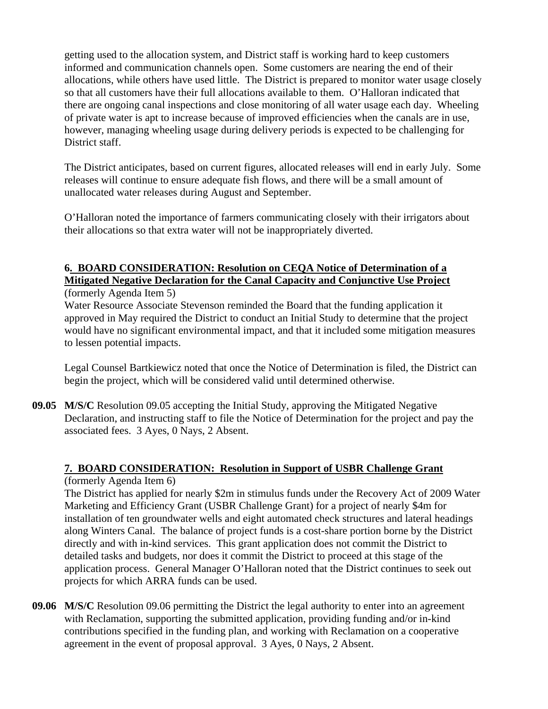getting used to the allocation system, and District staff is working hard to keep customers informed and communication channels open. Some customers are nearing the end of their allocations, while others have used little. The District is prepared to monitor water usage closely so that all customers have their full allocations available to them. O'Halloran indicated that there are ongoing canal inspections and close monitoring of all water usage each day. Wheeling of private water is apt to increase because of improved efficiencies when the canals are in use, however, managing wheeling usage during delivery periods is expected to be challenging for District staff.

The District anticipates, based on current figures, allocated releases will end in early July. Some releases will continue to ensure adequate fish flows, and there will be a small amount of unallocated water releases during August and September.

O'Halloran noted the importance of farmers communicating closely with their irrigators about their allocations so that extra water will not be inappropriately diverted.

#### **6. BOARD CONSIDERATION: Resolution on CEQA Notice of Determination of a Mitigated Negative Declaration for the Canal Capacity and Conjunctive Use Project** (formerly Agenda Item 5)

 Water Resource Associate Stevenson reminded the Board that the funding application it approved in May required the District to conduct an Initial Study to determine that the project would have no significant environmental impact, and that it included some mitigation measures to lessen potential impacts.

 Legal Counsel Bartkiewicz noted that once the Notice of Determination is filed, the District can begin the project, which will be considered valid until determined otherwise.

**09.05 M/S/C** Resolution 09.05 accepting the Initial Study, approving the Mitigated Negative Declaration, and instructing staff to file the Notice of Determination for the project and pay the associated fees. 3 Ayes, 0 Nays, 2 Absent.

## **7. BOARD CONSIDERATION: Resolution in Support of USBR Challenge Grant**

(formerly Agenda Item 6)

 The District has applied for nearly \$2m in stimulus funds under the Recovery Act of 2009 Water Marketing and Efficiency Grant (USBR Challenge Grant) for a project of nearly \$4m for installation of ten groundwater wells and eight automated check structures and lateral headings along Winters Canal. The balance of project funds is a cost-share portion borne by the District directly and with in-kind services. This grant application does not commit the District to detailed tasks and budgets, nor does it commit the District to proceed at this stage of the application process. General Manager O'Halloran noted that the District continues to seek out projects for which ARRA funds can be used.

**09.06 M/S/C** Resolution 09.06 permitting the District the legal authority to enter into an agreement with Reclamation, supporting the submitted application, providing funding and/or in-kind contributions specified in the funding plan, and working with Reclamation on a cooperative agreement in the event of proposal approval. 3 Ayes, 0 Nays, 2 Absent.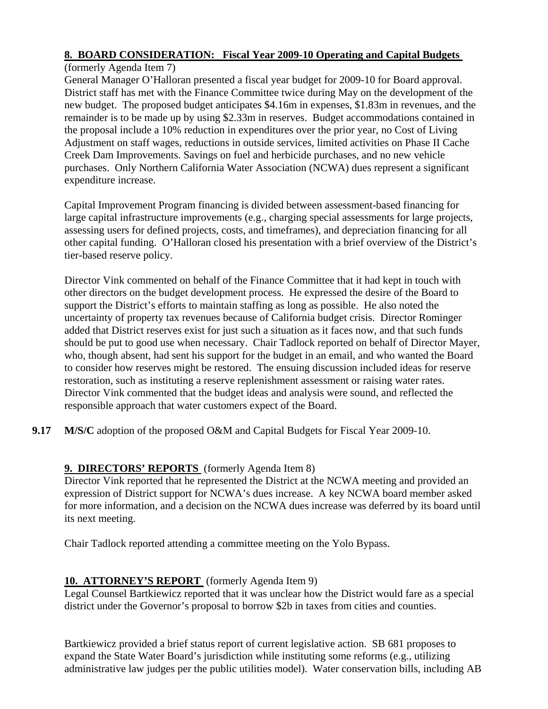## **8. BOARD CONSIDERATION: Fiscal Year 2009-10 Operating and Capital Budgets**

(formerly Agenda Item 7)

General Manager O'Halloran presented a fiscal year budget for 2009-10 for Board approval. District staff has met with the Finance Committee twice during May on the development of the new budget. The proposed budget anticipates \$4.16m in expenses, \$1.83m in revenues, and the remainder is to be made up by using \$2.33m in reserves. Budget accommodations contained in the proposal include a 10% reduction in expenditures over the prior year, no Cost of Living Adjustment on staff wages, reductions in outside services, limited activities on Phase II Cache Creek Dam Improvements. Savings on fuel and herbicide purchases, and no new vehicle purchases. Only Northern California Water Association (NCWA) dues represent a significant expenditure increase.

Capital Improvement Program financing is divided between assessment-based financing for large capital infrastructure improvements (e.g., charging special assessments for large projects, assessing users for defined projects, costs, and timeframes), and depreciation financing for all other capital funding. O'Halloran closed his presentation with a brief overview of the District's tier-based reserve policy.

Director Vink commented on behalf of the Finance Committee that it had kept in touch with other directors on the budget development process. He expressed the desire of the Board to support the District's efforts to maintain staffing as long as possible. He also noted the uncertainty of property tax revenues because of California budget crisis. Director Rominger added that District reserves exist for just such a situation as it faces now, and that such funds should be put to good use when necessary. Chair Tadlock reported on behalf of Director Mayer, who, though absent, had sent his support for the budget in an email, and who wanted the Board to consider how reserves might be restored. The ensuing discussion included ideas for reserve restoration, such as instituting a reserve replenishment assessment or raising water rates. Director Vink commented that the budget ideas and analysis were sound, and reflected the responsible approach that water customers expect of the Board.

**9.17 M/S/C** adoption of the proposed O&M and Capital Budgets for Fiscal Year 2009-10.

## **9. DIRECTORS' REPORTS** (formerly Agenda Item 8)

 Director Vink reported that he represented the District at the NCWA meeting and provided an expression of District support for NCWA's dues increase. A key NCWA board member asked for more information, and a decision on the NCWA dues increase was deferred by its board until its next meeting.

Chair Tadlock reported attending a committee meeting on the Yolo Bypass.

## **10. ATTORNEY'S REPORT** (formerly Agenda Item 9)

Legal Counsel Bartkiewicz reported that it was unclear how the District would fare as a special district under the Governor's proposal to borrow \$2b in taxes from cities and counties.

Bartkiewicz provided a brief status report of current legislative action. SB 681 proposes to expand the State Water Board's jurisdiction while instituting some reforms (e.g., utilizing administrative law judges per the public utilities model). Water conservation bills, including AB